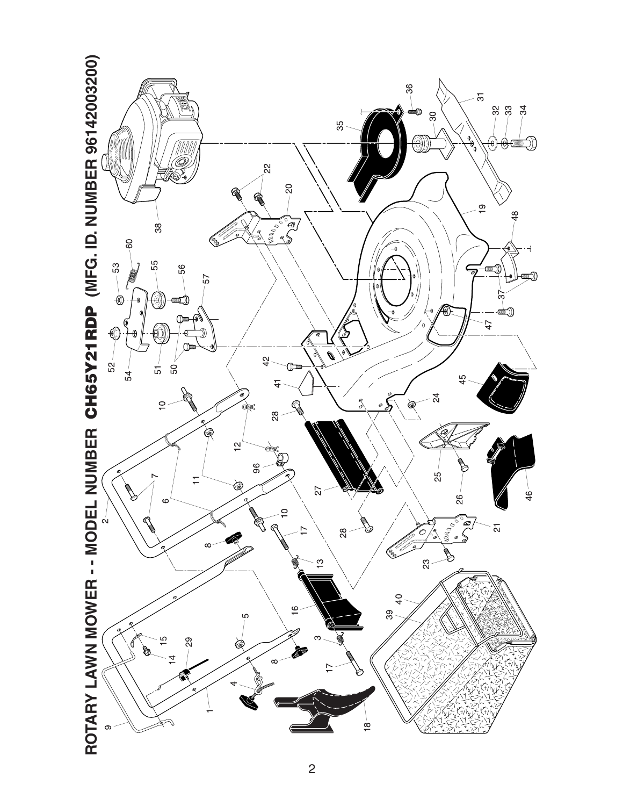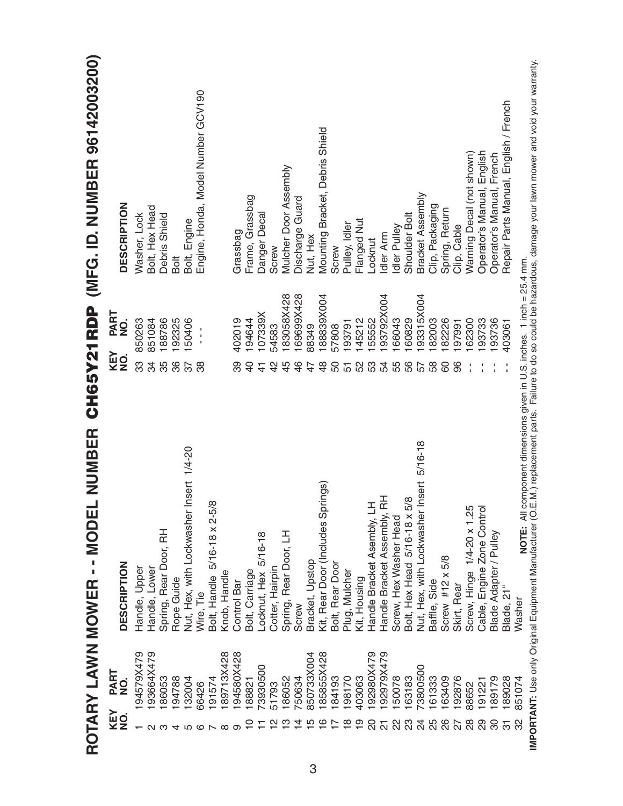|                   |             | NUMBER<br>ROTARY LAWN MOWER - - MODEL       | CH65Y21RDP     |                                | (MFG. ID. NUMBER 96142003200)         |
|-------------------|-------------|---------------------------------------------|----------------|--------------------------------|---------------------------------------|
| KEY<br>NO.        | PART<br>NO. | <b>DESCRIPTION</b>                          | KEY<br>NO.     | PART<br>$\frac{1}{2}$          | <b>DESCRIPTION</b>                    |
|                   | 194579X479  | Handle, Upper                               | က္က            | 850263                         | Washer, Lock                          |
|                   | 193664X479  | Handle, Lower                               | 34             | 851084                         | Bolt, Hex Head                        |
|                   | 86053       | Spring, Rear Door, RH                       | 35             | 188786                         | Debris Shield                         |
|                   | 194788      | Rope Guide                                  | 86             | 192325                         | Bolt                                  |
|                   | 132004      | sert 1/4-20<br>Nut, Hex, with Lockwasher In | 57             | 150406                         | Bolt, Engine                          |
|                   | 66426       | Wire, Tie                                   | 38             | $\blacksquare$<br>$\mathbf{I}$ | Engine, Honda, Model Number GCV190    |
|                   | 191574      | Bolt, Handle 5/16-18 x 2-5/8                |                |                                |                                       |
| ∞                 | 89713X428   | Knob, Handle                                |                |                                |                                       |
| တ                 | 94580X428   | Control Bar                                 | 39             | 402019                         | Grassbag                              |
|                   | 188821      | Bolt, Carriage                              | $\overline{0}$ | 194644                         | Frame, Grassbag                       |
|                   | 73930500    | Locknut, Hex 5/16-18                        | $\frac{4}{1}$  | 107339X                        | Danger Decal                          |
| $\mathbf{\Omega}$ | 51793       | Cotter, Hairpin                             | $\frac{2}{3}$  | 54583                          | Screw                                 |
|                   | 186052      | Spring, Rear Door, LH                       | 45             | 183058X428                     | <b>Mulcher Door Assembly</b>          |
|                   | 750634      | Screw                                       | $\frac{6}{4}$  | 169699X428                     | Discharge Guard                       |
|                   | 850733X004  | Bracket, Upstop                             | 47             | 88349                          | Nut, Hex                              |
|                   | 185855X428  | ings)<br>Kit, Rear Door (Includes Spr       | $\frac{8}{4}$  | 188839X004                     | Mounting Bracket, Debris Shield       |
|                   | 184193      | Bolt, Rear Door                             | 50             | 57808                          | Screw                                 |
|                   | 198170      | Plug, Mulcher                               | 57             | 193791                         | Pulley, Idler                         |
|                   | 403063      | Kit, Housing                                | 52             | 145212                         | Flanged Nut                           |
|                   | 192980X479  | Handle Bracket Asembly, LH                  | 53             | 155552                         | -ocknut                               |
| $\frac{1}{2}$     | 192979X479  | Handle Bracket Assembly, RH                 | 54             | 193792X004                     | Idler Arm                             |
|                   | 150078      | Screw, Hex Washer Head                      | 55             | 166043                         | Idler Pulley                          |
| 23                | 163183      | Bolt, Hex Head 5/16-18 x 5/8                | 56             | 160829                         | Shoulder Bolt                         |
|                   | 73800500    | 5/16-18<br>Nut, Hex, with Lockwasher Insert | 57             | 93315X004                      | Bracket Assembly                      |
|                   | 161333      | Baffle, Side                                | 58             | 182003                         | Clip, Packaging                       |
|                   | 163409      | Screw $#12 \times 5/8$                      | 8              | 182226                         | Spring, Return                        |
| 35828             | 192876      | Skirt, Rear                                 |                | 197991                         | Clip, Cable                           |
|                   | 88652       | Screw, Hinge 1/4-20 x 1.25                  |                | 162300                         | Warning Decal (not shown)             |
| 29                | 191221      | Cable, Engine Zone Control                  |                | 193733                         | Operator's Manual, English            |
| 80                | 189179      | Blade Adapter / Pulley                      |                | 193736                         | Operator's Manual, French             |
| $\overline{5}$    | 189028      | Blade, 21"                                  | Ŧ              | 403061                         | Repair Parts Manual, English / French |
| 32                | 851074      | Washer                                      |                |                                |                                       |
|                   |             |                                             |                |                                |                                       |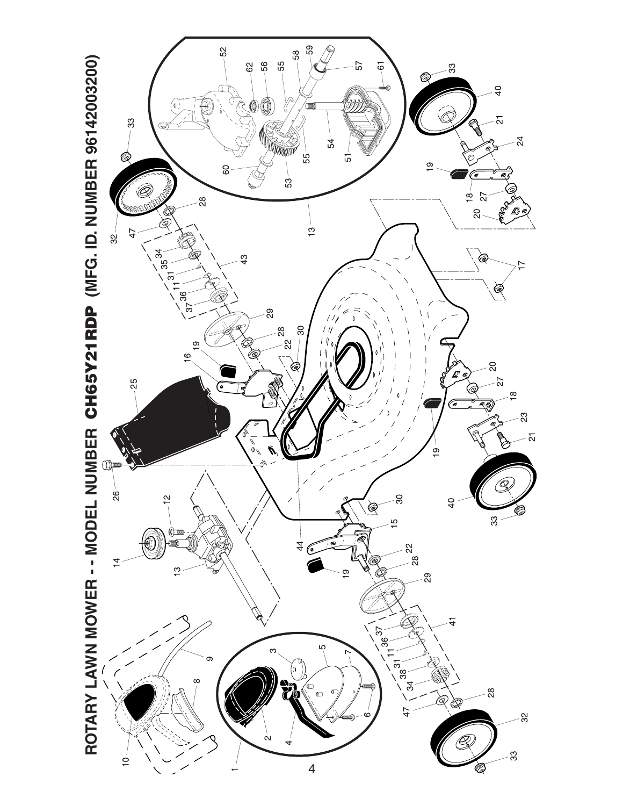